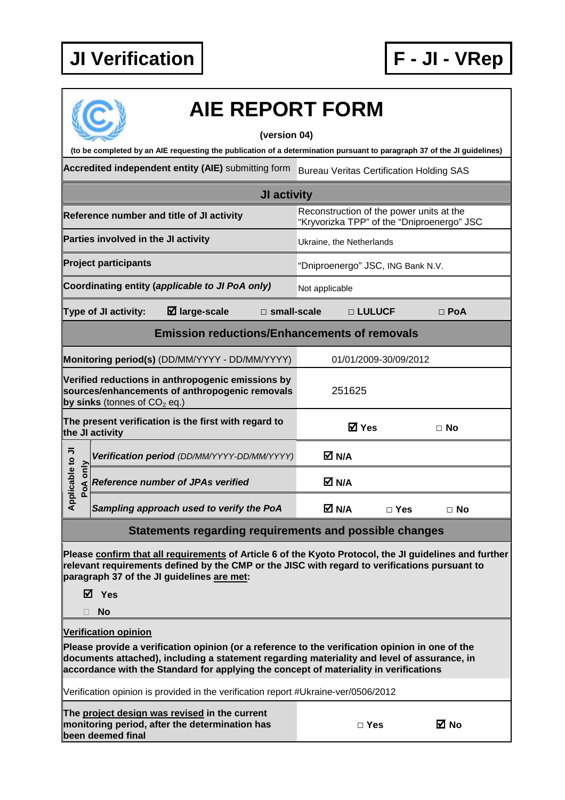

|                              | <b>AIE REPORT FORM</b><br>(version 04)                                                                                                                                                                                                                                                  |                                                                                        |                       |            |
|------------------------------|-----------------------------------------------------------------------------------------------------------------------------------------------------------------------------------------------------------------------------------------------------------------------------------------|----------------------------------------------------------------------------------------|-----------------------|------------|
|                              | (to be completed by an AIE requesting the publication of a determination pursuant to paragraph 37 of the JI guidelines)                                                                                                                                                                 |                                                                                        |                       |            |
|                              | Accredited independent entity (AIE) submitting form                                                                                                                                                                                                                                     | <b>Bureau Veritas Certification Holding SAS</b>                                        |                       |            |
|                              | JI activity                                                                                                                                                                                                                                                                             |                                                                                        |                       |            |
|                              | Reference number and title of JI activity                                                                                                                                                                                                                                               | Reconstruction of the power units at the<br>"Kryvorizka TPP" of the "Dniproenergo" JSC |                       |            |
|                              | Parties involved in the JI activity                                                                                                                                                                                                                                                     | Ukraine, the Netherlands                                                               |                       |            |
|                              | <b>Project participants</b>                                                                                                                                                                                                                                                             | "Dniproenergo" JSC, ING Bank N.V.                                                      |                       |            |
|                              | Coordinating entity (applicable to JI PoA only)                                                                                                                                                                                                                                         | Not applicable                                                                         |                       |            |
|                              | $\boxtimes$ large-scale<br>Type of JI activity:<br>$\Box$ small-scale                                                                                                                                                                                                                   |                                                                                        | □ LULUCF              | $\Box$ PoA |
|                              | <b>Emission reductions/Enhancements of removals</b>                                                                                                                                                                                                                                     |                                                                                        |                       |            |
|                              | Monitoring period(s) (DD/MM/YYYY - DD/MM/YYYY)                                                                                                                                                                                                                                          |                                                                                        | 01/01/2009-30/09/2012 |            |
|                              | Verified reductions in anthropogenic emissions by<br>sources/enhancements of anthropogenic removals<br>by sinks (tonnes of $CO2$ eq.)                                                                                                                                                   | 251625                                                                                 |                       |            |
|                              | The present verification is the first with regard to<br>the JI activity                                                                                                                                                                                                                 | <b>Ø</b> Yes                                                                           |                       | $\Box$ No  |
|                              | Verification period (DD/MM/YYYY-DD/MM/YYYY)                                                                                                                                                                                                                                             | M N/A                                                                                  |                       |            |
| Applicable to JI<br>PoA only | <b>Reference number of JPAs verified</b>                                                                                                                                                                                                                                                | M N/A                                                                                  |                       |            |
|                              | Sampling approach used to verify the PoA                                                                                                                                                                                                                                                | M N/A                                                                                  | $\Box$ Yes            | $\Box$ No  |
|                              | Statements regarding requirements and possible changes                                                                                                                                                                                                                                  |                                                                                        |                       |            |
|                              | Please confirm that all requirements of Article 6 of the Kyoto Protocol, the JI guidelines and further<br>relevant requirements defined by the CMP or the JISC with regard to verifications pursuant to<br>paragraph 37 of the JI guidelines are met:<br><b>☑</b> Yes<br><b>No</b>      |                                                                                        |                       |            |
|                              | <b>Verification opinion</b>                                                                                                                                                                                                                                                             |                                                                                        |                       |            |
|                              | Please provide a verification opinion (or a reference to the verification opinion in one of the<br>documents attached), including a statement regarding materiality and level of assurance, in<br>accordance with the Standard for applying the concept of materiality in verifications |                                                                                        |                       |            |
|                              | Verification opinion is provided in the verification report #Ukraine-ver/0506/2012                                                                                                                                                                                                      |                                                                                        |                       |            |
|                              | The project design was revised in the current<br>monitoring period, after the determination has<br>been deemed final                                                                                                                                                                    |                                                                                        | $\Box$ Yes            | ⊠ No       |